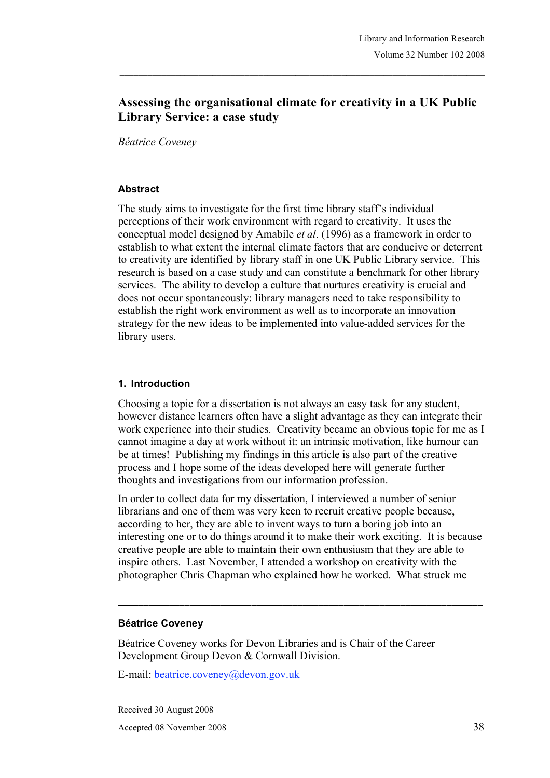# **Assessing the organisational climate for creativity in a UK Public Library Service: a case study**

*Béatrice Coveney*

#### **Abstract**

The study aims to investigate for the first time library staff's individual perceptions of their work environment with regard to creativity. It uses the conceptual model designed by Amabile *et al*. (1996) as a framework in order to establish to what extent the internal climate factors that are conducive or deterrent to creativity are identified by library staff in one UK Public Library service. This research is based on a case study and can constitute a benchmark for other library services. The ability to develop a culture that nurtures creativity is crucial and does not occur spontaneously: library managers need to take responsibility to establish the right work environment as well as to incorporate an innovation strategy for the new ideas to be implemented into value-added services for the library users.

#### **1. Introduction**

Choosing a topic for a dissertation is not always an easy task for any student, however distance learners often have a slight advantage as they can integrate their work experience into their studies. Creativity became an obvious topic for me as I cannot imagine a day at work without it: an intrinsic motivation, like humour can be at times! Publishing my findings in this article is also part of the creative process and I hope some of the ideas developed here will generate further thoughts and investigations from our information profession.

In order to collect data for my dissertation, I interviewed a number of senior librarians and one of them was very keen to recruit creative people because, according to her, they are able to invent ways to turn a boring job into an interesting one or to do things around it to make their work exciting. It is because creative people are able to maintain their own enthusiasm that they are able to inspire others. Last November, I attended a workshop on creativity with the photographer Chris Chapman who explained how he worked. What struck me

**\_\_\_\_\_\_\_\_\_\_\_\_\_\_\_\_\_\_\_\_\_\_\_\_\_\_\_\_\_\_\_\_\_\_\_\_\_\_\_\_\_\_\_\_\_\_\_\_\_\_\_\_\_\_\_\_\_\_\_\_\_\_\_\_\_\_\_\_\_\_\_**

#### **Béatrice Coveney**

Béatrice Coveney works for Devon Libraries and is Chair of the Career Development Group Devon & Cornwall Division.

E-mail: beatrice.coveney@devon.gov.uk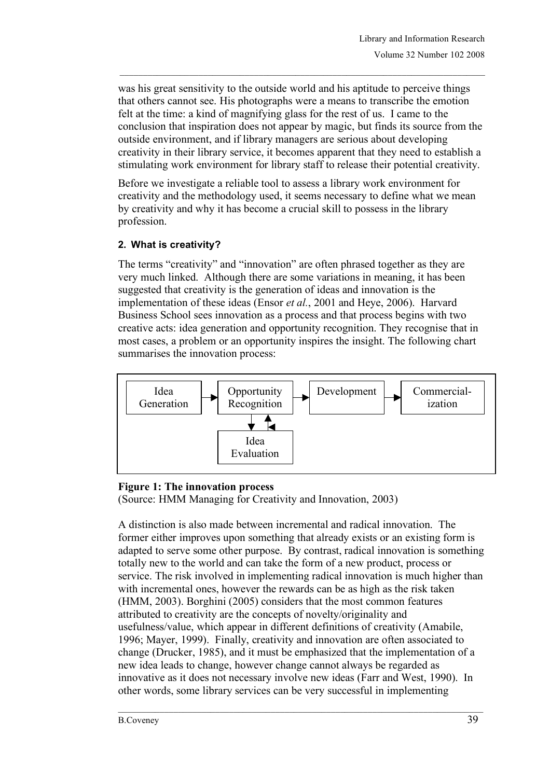was his great sensitivity to the outside world and his aptitude to perceive things that others cannot see. His photographs were a means to transcribe the emotion felt at the time: a kind of magnifying glass for the rest of us. I came to the conclusion that inspiration does not appear by magic, but finds its source from the outside environment, and if library managers are serious about developing creativity in their library service, it becomes apparent that they need to establish a stimulating work environment for library staff to release their potential creativity.

Before we investigate a reliable tool to assess a library work environment for creativity and the methodology used, it seems necessary to define what we mean by creativity and why it has become a crucial skill to possess in the library profession.

## **2. What is creativity?**

The terms "creativity" and "innovation" are often phrased together as they are very much linked. Although there are some variations in meaning, it has been suggested that creativity is the generation of ideas and innovation is the implementation of these ideas (Ensor *et al.*, 2001 and Heye, 2006). Harvard Business School sees innovation as a process and that process begins with two creative acts: idea generation and opportunity recognition. They recognise that in most cases, a problem or an opportunity inspires the insight. The following chart summarises the innovation process:



## **Figure 1: The innovation process**

(Source: HMM Managing for Creativity and Innovation, 2003)

A distinction is also made between incremental and radical innovation. The former either improves upon something that already exists or an existing form is adapted to serve some other purpose. By contrast, radical innovation is something totally new to the world and can take the form of a new product, process or service. The risk involved in implementing radical innovation is much higher than with incremental ones, however the rewards can be as high as the risk taken (HMM, 2003). Borghini (2005) considers that the most common features attributed to creativity are the concepts of novelty/originality and usefulness/value, which appear in different definitions of creativity (Amabile, 1996; Mayer, 1999). Finally, creativity and innovation are often associated to change (Drucker, 1985), and it must be emphasized that the implementation of a new idea leads to change, however change cannot always be regarded as innovative as it does not necessary involve new ideas (Farr and West, 1990). In other words, some library services can be very successful in implementing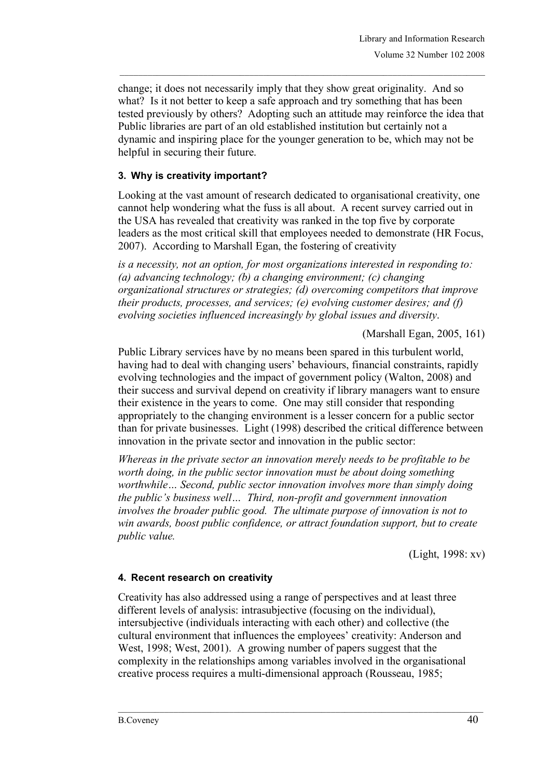change; it does not necessarily imply that they show great originality. And so what? Is it not better to keep a safe approach and try something that has been tested previously by others? Adopting such an attitude may reinforce the idea that Public libraries are part of an old established institution but certainly not a dynamic and inspiring place for the younger generation to be, which may not be helpful in securing their future.

### **3. Why is creativity important?**

Looking at the vast amount of research dedicated to organisational creativity, one cannot help wondering what the fuss is all about. A recent survey carried out in the USA has revealed that creativity was ranked in the top five by corporate leaders as the most critical skill that employees needed to demonstrate (HR Focus, 2007). According to Marshall Egan, the fostering of creativity

*is a necessity, not an option, for most organizations interested in responding to: (a) advancing technology; (b) a changing environment; (c) changing organizational structures or strategies; (d) overcoming competitors that improve their products, processes, and services; (e) evolving customer desires; and (f) evolving societies influenced increasingly by global issues and diversity*.

(Marshall Egan, 2005, 161)

Public Library services have by no means been spared in this turbulent world, having had to deal with changing users' behaviours, financial constraints, rapidly evolving technologies and the impact of government policy (Walton, 2008) and their success and survival depend on creativity if library managers want to ensure their existence in the years to come. One may still consider that responding appropriately to the changing environment is a lesser concern for a public sector than for private businesses. Light (1998) described the critical difference between innovation in the private sector and innovation in the public sector:

*Whereas in the private sector an innovation merely needs to be profitable to be worth doing, in the public sector innovation must be about doing something worthwhile… Second, public sector innovation involves more than simply doing the public's business well… Third, non-profit and government innovation involves the broader public good. The ultimate purpose of innovation is not to win awards, boost public confidence, or attract foundation support, but to create public value.*

(Light, 1998: xv)

#### **4. Recent research on creativity**

Creativity has also addressed using a range of perspectives and at least three different levels of analysis: intrasubjective (focusing on the individual), intersubjective (individuals interacting with each other) and collective (the cultural environment that influences the employees' creativity: Anderson and West, 1998; West, 2001). A growing number of papers suggest that the complexity in the relationships among variables involved in the organisational creative process requires a multi-dimensional approach (Rousseau, 1985;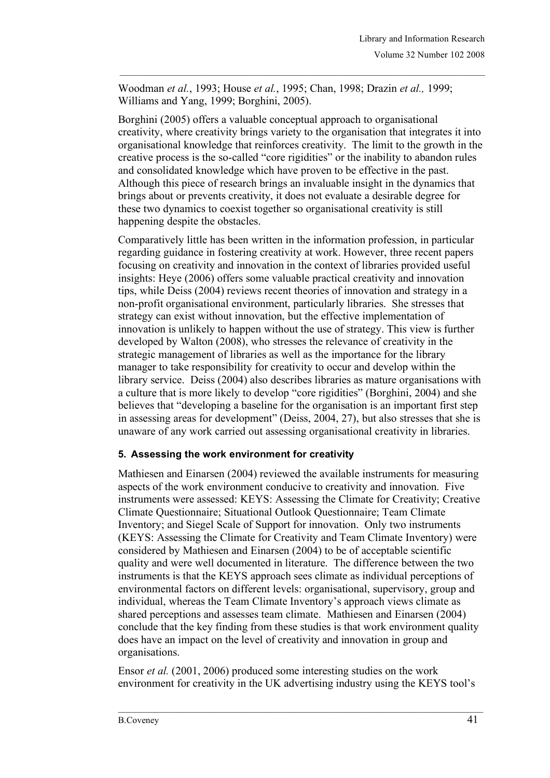Woodman *et al.*, 1993; House *et al.*, 1995; Chan, 1998; Drazin *et al.,* 1999; Williams and Yang, 1999; Borghini, 2005).

Borghini (2005) offers a valuable conceptual approach to organisational creativity, where creativity brings variety to the organisation that integrates it into organisational knowledge that reinforces creativity. The limit to the growth in the creative process is the so-called "core rigidities" or the inability to abandon rules and consolidated knowledge which have proven to be effective in the past. Although this piece of research brings an invaluable insight in the dynamics that brings about or prevents creativity, it does not evaluate a desirable degree for these two dynamics to coexist together so organisational creativity is still happening despite the obstacles.

Comparatively little has been written in the information profession, in particular regarding guidance in fostering creativity at work. However, three recent papers focusing on creativity and innovation in the context of libraries provided useful insights: Heye (2006) offers some valuable practical creativity and innovation tips, while Deiss (2004) reviews recent theories of innovation and strategy in a non-profit organisational environment, particularly libraries. She stresses that strategy can exist without innovation, but the effective implementation of innovation is unlikely to happen without the use of strategy. This view is further developed by Walton (2008), who stresses the relevance of creativity in the strategic management of libraries as well as the importance for the library manager to take responsibility for creativity to occur and develop within the library service. Deiss (2004) also describes libraries as mature organisations with a culture that is more likely to develop "core rigidities" (Borghini, 2004) and she believes that "developing a baseline for the organisation is an important first step in assessing areas for development" (Deiss, 2004, 27), but also stresses that she is unaware of any work carried out assessing organisational creativity in libraries.

## **5. Assessing the work environment for creativity**

Mathiesen and Einarsen (2004) reviewed the available instruments for measuring aspects of the work environment conducive to creativity and innovation. Five instruments were assessed: KEYS: Assessing the Climate for Creativity; Creative Climate Questionnaire; Situational Outlook Questionnaire; Team Climate Inventory; and Siegel Scale of Support for innovation. Only two instruments (KEYS: Assessing the Climate for Creativity and Team Climate Inventory) were considered by Mathiesen and Einarsen (2004) to be of acceptable scientific quality and were well documented in literature. The difference between the two instruments is that the KEYS approach sees climate as individual perceptions of environmental factors on different levels: organisational, supervisory, group and individual, whereas the Team Climate Inventory's approach views climate as shared perceptions and assesses team climate. Mathiesen and Einarsen (2004) conclude that the key finding from these studies is that work environment quality does have an impact on the level of creativity and innovation in group and organisations.

Ensor *et al.* (2001, 2006) produced some interesting studies on the work environment for creativity in the UK advertising industry using the KEYS tool's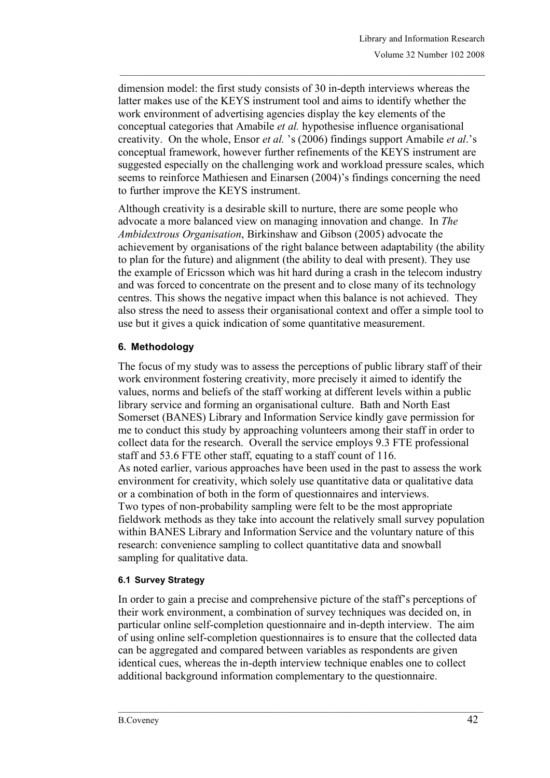dimension model: the first study consists of 30 in-depth interviews whereas the latter makes use of the KEYS instrument tool and aims to identify whether the work environment of advertising agencies display the key elements of the conceptual categories that Amabile *et al.* hypothesise influence organisational creativity. On the whole, Ensor *et al.* 's (2006) findings support Amabile *et al*.'s conceptual framework, however further refinements of the KEYS instrument are suggested especially on the challenging work and workload pressure scales, which seems to reinforce Mathiesen and Einarsen (2004)'s findings concerning the need to further improve the KEYS instrument.

Although creativity is a desirable skill to nurture, there are some people who advocate a more balanced view on managing innovation and change. In *The Ambidextrous Organisation*, Birkinshaw and Gibson (2005) advocate the achievement by organisations of the right balance between adaptability (the ability to plan for the future) and alignment (the ability to deal with present). They use the example of Ericsson which was hit hard during a crash in the telecom industry and was forced to concentrate on the present and to close many of its technology centres. This shows the negative impact when this balance is not achieved. They also stress the need to assess their organisational context and offer a simple tool to use but it gives a quick indication of some quantitative measurement.

## **6. Methodology**

The focus of my study was to assess the perceptions of public library staff of their work environment fostering creativity, more precisely it aimed to identify the values, norms and beliefs of the staff working at different levels within a public library service and forming an organisational culture. Bath and North East Somerset (BANES) Library and Information Service kindly gave permission for me to conduct this study by approaching volunteers among their staff in order to collect data for the research. Overall the service employs 9.3 FTE professional staff and 53.6 FTE other staff, equating to a staff count of 116. As noted earlier, various approaches have been used in the past to assess the work environment for creativity, which solely use quantitative data or qualitative data or a combination of both in the form of questionnaires and interviews. Two types of non-probability sampling were felt to be the most appropriate fieldwork methods as they take into account the relatively small survey population within BANES Library and Information Service and the voluntary nature of this research: convenience sampling to collect quantitative data and snowball sampling for qualitative data.

#### **6.1 Survey Strategy**

In order to gain a precise and comprehensive picture of the staff's perceptions of their work environment, a combination of survey techniques was decided on, in particular online self-completion questionnaire and in-depth interview. The aim of using online self-completion questionnaires is to ensure that the collected data can be aggregated and compared between variables as respondents are given identical cues, whereas the in-depth interview technique enables one to collect additional background information complementary to the questionnaire.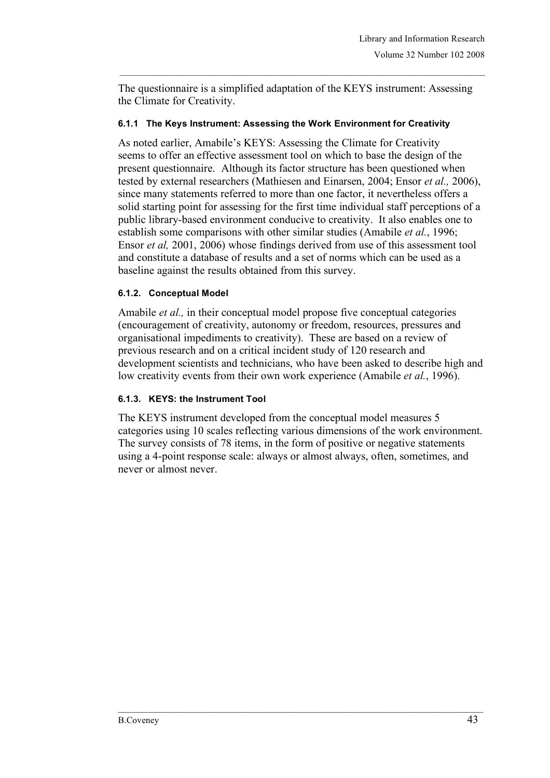The questionnaire is a simplified adaptation of the KEYS instrument: Assessing the Climate for Creativity.

#### **6.1.1 The Keys Instrument: Assessing the Work Environment for Creativity**

As noted earlier, Amabile's KEYS: Assessing the Climate for Creativity seems to offer an effective assessment tool on which to base the design of the present questionnaire. Although its factor structure has been questioned when tested by external researchers (Mathiesen and Einarsen, 2004; Ensor *et al.,* 2006), since many statements referred to more than one factor, it nevertheless offers a solid starting point for assessing for the first time individual staff perceptions of a public library-based environment conducive to creativity. It also enables one to establish some comparisons with other similar studies (Amabile *et al.*, 1996; Ensor *et al,* 2001, 2006) whose findings derived from use of this assessment tool and constitute a database of results and a set of norms which can be used as a baseline against the results obtained from this survey.

#### **6.1.2. Conceptual Model**

Amabile *et al.,* in their conceptual model propose five conceptual categories (encouragement of creativity, autonomy or freedom, resources, pressures and organisational impediments to creativity). These are based on a review of previous research and on a critical incident study of 120 research and development scientists and technicians, who have been asked to describe high and low creativity events from their own work experience (Amabile *et al.*, 1996).

#### **6.1.3. KEYS: the Instrument Tool**

The KEYS instrument developed from the conceptual model measures 5 categories using 10 scales reflecting various dimensions of the work environment. The survey consists of 78 items, in the form of positive or negative statements using a 4-point response scale: always or almost always, often, sometimes, and never or almost never.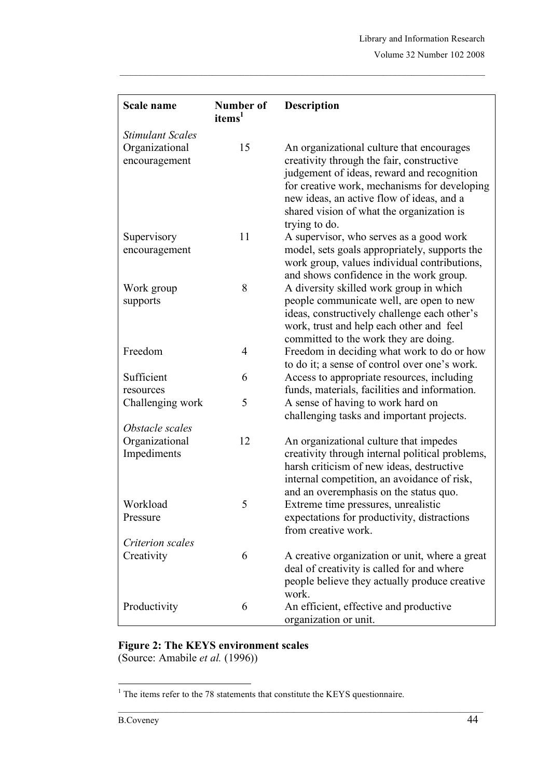| Scale name              | Number of<br>items <sup>1</sup> | <b>Description</b>                              |
|-------------------------|---------------------------------|-------------------------------------------------|
| <b>Stimulant Scales</b> |                                 |                                                 |
| Organizational          | 15                              | An organizational culture that encourages       |
| encouragement           |                                 | creativity through the fair, constructive       |
|                         |                                 | judgement of ideas, reward and recognition      |
|                         |                                 | for creative work, mechanisms for developing    |
|                         |                                 | new ideas, an active flow of ideas, and a       |
|                         |                                 | shared vision of what the organization is       |
|                         |                                 | trying to do.                                   |
| Supervisory             | 11                              | A supervisor, who serves as a good work         |
| encouragement           |                                 | model, sets goals appropriately, supports the   |
|                         |                                 | work group, values individual contributions,    |
|                         |                                 | and shows confidence in the work group.         |
| Work group              | 8                               | A diversity skilled work group in which         |
| supports                |                                 | people communicate well, are open to new        |
|                         |                                 | ideas, constructively challenge each other's    |
|                         |                                 | work, trust and help each other and feel        |
|                         |                                 | committed to the work they are doing.           |
| Freedom                 | 4                               | Freedom in deciding what work to do or how      |
|                         |                                 | to do it; a sense of control over one's work.   |
| Sufficient              | 6                               | Access to appropriate resources, including      |
| resources               |                                 | funds, materials, facilities and information.   |
| Challenging work        | 5                               | A sense of having to work hard on               |
|                         |                                 | challenging tasks and important projects.       |
| Obstacle scales         |                                 |                                                 |
| Organizational          | 12                              | An organizational culture that impedes          |
| Impediments             |                                 | creativity through internal political problems, |
|                         |                                 | harsh criticism of new ideas, destructive       |
|                         |                                 | internal competition, an avoidance of risk,     |
|                         |                                 | and an overemphasis on the status quo.          |
| Workload                | 5                               | Extreme time pressures, unrealistic             |
| Pressure                |                                 | expectations for productivity, distractions     |
|                         |                                 | from creative work.                             |
| Criterion scales        |                                 |                                                 |
| Creativity              | 6                               | A creative organization or unit, where a great  |
|                         |                                 | deal of creativity is called for and where      |
|                         |                                 | people believe they actually produce creative   |
|                         |                                 | work.                                           |
| Productivity            | 6                               | An efficient, effective and productive          |
|                         |                                 | organization or unit.                           |

### **Figure 2: The KEYS environment scales** (Source: Amabile *et al.* (1996))

<sup>&</sup>lt;sup>1</sup> The items refer to the 78 statements that constitute the KEYS questionnaire.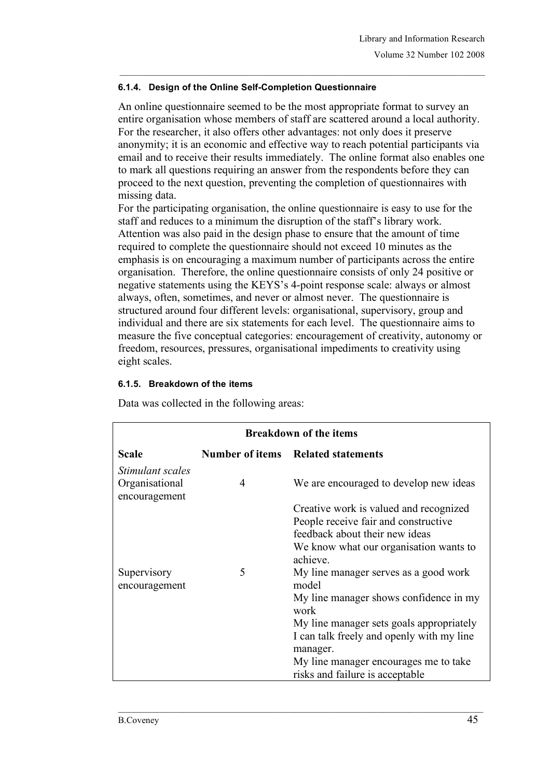### **6.1.4. Design of the Online Self-Completion Questionnaire**

An online questionnaire seemed to be the most appropriate format to survey an entire organisation whose members of staff are scattered around a local authority. For the researcher, it also offers other advantages: not only does it preserve anonymity; it is an economic and effective way to reach potential participants via email and to receive their results immediately. The online format also enables one to mark all questions requiring an answer from the respondents before they can proceed to the next question, preventing the completion of questionnaires with missing data.

For the participating organisation, the online questionnaire is easy to use for the staff and reduces to a minimum the disruption of the staff's library work. Attention was also paid in the design phase to ensure that the amount of time required to complete the questionnaire should not exceed 10 minutes as the emphasis is on encouraging a maximum number of participants across the entire organisation. Therefore, the online questionnaire consists of only 24 positive or negative statements using the KEYS's 4-point response scale: always or almost always, often, sometimes, and never or almost never. The questionnaire is structured around four different levels: organisational, supervisory, group and individual and there are six statements for each level. The questionnaire aims to measure the five conceptual categories: encouragement of creativity, autonomy or freedom, resources, pressures, organisational impediments to creativity using eight scales.

#### **6.1.5. Breakdown of the items**

Data was collected in the following areas:

| <b>Breakdown of the items</b>                       |   |                                                                                                                                                                                                                                                                                   |  |  |
|-----------------------------------------------------|---|-----------------------------------------------------------------------------------------------------------------------------------------------------------------------------------------------------------------------------------------------------------------------------------|--|--|
| Scale                                               |   | <b>Number of items</b> Related statements                                                                                                                                                                                                                                         |  |  |
| Stimulant scales<br>Organisational<br>encouragement | 4 | We are encouraged to develop new ideas                                                                                                                                                                                                                                            |  |  |
|                                                     |   | Creative work is valued and recognized<br>People receive fair and constructive<br>feedback about their new ideas<br>We know what our organisation wants to<br>achieve.                                                                                                            |  |  |
| Supervisory<br>encouragement                        | 5 | My line manager serves as a good work<br>model<br>My line manager shows confidence in my<br>work<br>My line manager sets goals appropriately<br>I can talk freely and openly with my line<br>manager.<br>My line manager encourages me to take<br>risks and failure is acceptable |  |  |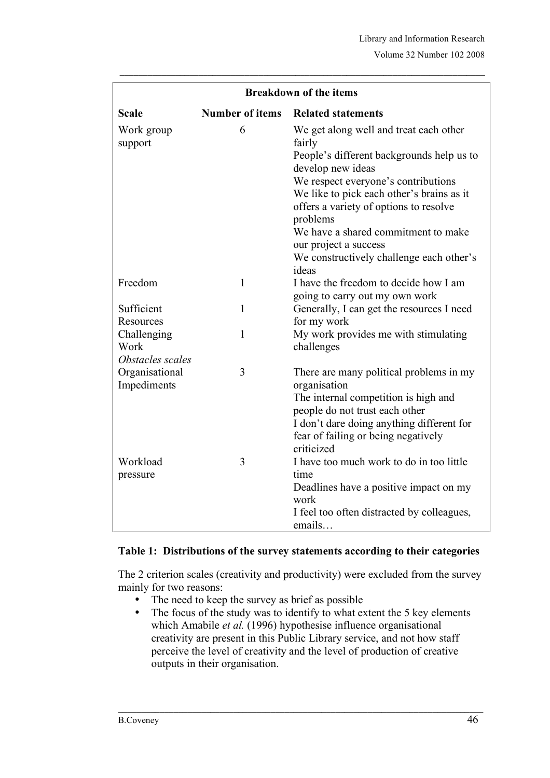| <b>Breakdown of the items</b>           |                        |                                                                                                                                                                                                                                                                                                                                                                                   |  |  |
|-----------------------------------------|------------------------|-----------------------------------------------------------------------------------------------------------------------------------------------------------------------------------------------------------------------------------------------------------------------------------------------------------------------------------------------------------------------------------|--|--|
| <b>Scale</b>                            | <b>Number of items</b> | <b>Related statements</b>                                                                                                                                                                                                                                                                                                                                                         |  |  |
| Work group<br>support                   | 6                      | We get along well and treat each other<br>fairly<br>People's different backgrounds help us to<br>develop new ideas<br>We respect everyone's contributions<br>We like to pick each other's brains as it<br>offers a variety of options to resolve<br>problems<br>We have a shared commitment to make<br>our project a success<br>We constructively challenge each other's<br>ideas |  |  |
| Freedom                                 | $\mathbf{1}$           | I have the freedom to decide how I am<br>going to carry out my own work                                                                                                                                                                                                                                                                                                           |  |  |
| Sufficient<br>Resources                 | $\mathbf{1}$           | Generally, I can get the resources I need<br>for my work                                                                                                                                                                                                                                                                                                                          |  |  |
| Challenging<br>Work<br>Obstacles scales | 1                      | My work provides me with stimulating<br>challenges                                                                                                                                                                                                                                                                                                                                |  |  |
| Organisational<br>Impediments           | 3                      | There are many political problems in my<br>organisation<br>The internal competition is high and<br>people do not trust each other<br>I don't dare doing anything different for<br>fear of failing or being negatively<br>criticized                                                                                                                                               |  |  |
| Workload<br>pressure                    | 3                      | I have too much work to do in too little<br>time<br>Deadlines have a positive impact on my<br>work<br>I feel too often distracted by colleagues,<br>emails                                                                                                                                                                                                                        |  |  |

### **Table 1: Distributions of the survey statements according to their categories**

The 2 criterion scales (creativity and productivity) were excluded from the survey mainly for two reasons:

- The need to keep the survey as brief as possible<br>• The focus of the study was to identify to what ex
- The focus of the study was to identify to what extent the 5 key elements which Amabile *et al.* (1996) hypothesise influence organisational creativity are present in this Public Library service, and not how staff perceive the level of creativity and the level of production of creative outputs in their organisation.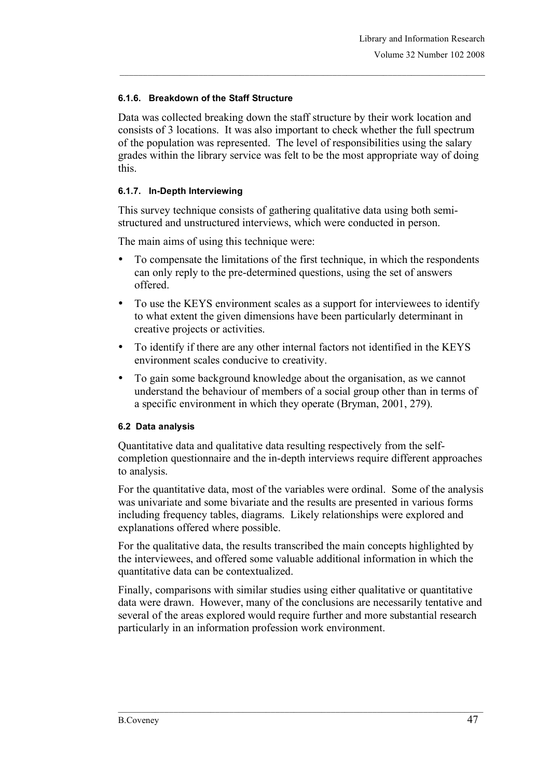### **6.1.6. Breakdown of the Staff Structure**

Data was collected breaking down the staff structure by their work location and consists of 3 locations. It was also important to check whether the full spectrum of the population was represented. The level of responsibilities using the salary grades within the library service was felt to be the most appropriate way of doing this.

#### **6.1.7. In-Depth Interviewing**

This survey technique consists of gathering qualitative data using both semistructured and unstructured interviews, which were conducted in person.

The main aims of using this technique were:

- To compensate the limitations of the first technique, in which the respondents can only reply to the pre-determined questions, using the set of answers offered.
- To use the KEYS environment scales as a support for interviewees to identify to what extent the given dimensions have been particularly determinant in creative projects or activities.
- To identify if there are any other internal factors not identified in the KEYS environment scales conducive to creativity.
- To gain some background knowledge about the organisation, as we cannot understand the behaviour of members of a social group other than in terms of a specific environment in which they operate (Bryman, 2001, 279).

#### **6.2 Data analysis**

Quantitative data and qualitative data resulting respectively from the selfcompletion questionnaire and the in-depth interviews require different approaches to analysis.

For the quantitative data, most of the variables were ordinal. Some of the analysis was univariate and some bivariate and the results are presented in various forms including frequency tables, diagrams. Likely relationships were explored and explanations offered where possible.

For the qualitative data, the results transcribed the main concepts highlighted by the interviewees, and offered some valuable additional information in which the quantitative data can be contextualized.

Finally, comparisons with similar studies using either qualitative or quantitative data were drawn. However, many of the conclusions are necessarily tentative and several of the areas explored would require further and more substantial research particularly in an information profession work environment.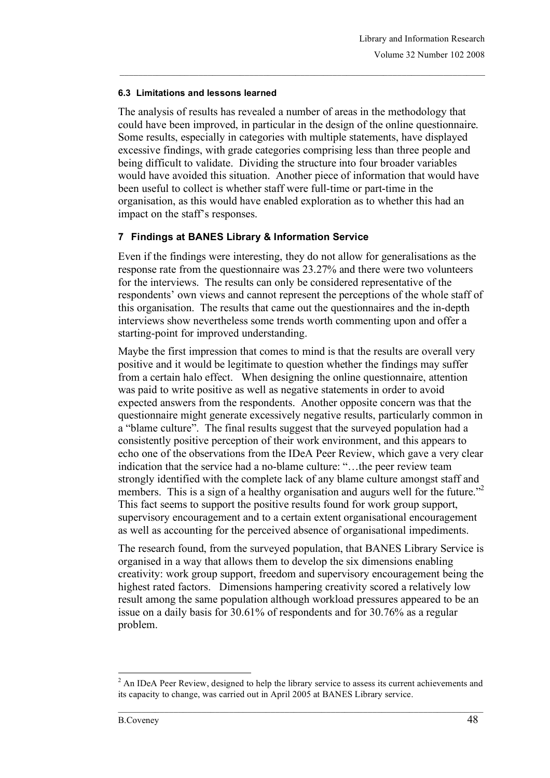#### **6.3 Limitations and lessons learned**

The analysis of results has revealed a number of areas in the methodology that could have been improved, in particular in the design of the online questionnaire. Some results, especially in categories with multiple statements, have displayed excessive findings, with grade categories comprising less than three people and being difficult to validate. Dividing the structure into four broader variables would have avoided this situation. Another piece of information that would have been useful to collect is whether staff were full-time or part-time in the organisation, as this would have enabled exploration as to whether this had an impact on the staff's responses.

#### **7 Findings at BANES Library & Information Service**

Even if the findings were interesting, they do not allow for generalisations as the response rate from the questionnaire was 23.27% and there were two volunteers for the interviews. The results can only be considered representative of the respondents' own views and cannot represent the perceptions of the whole staff of this organisation. The results that came out the questionnaires and the in-depth interviews show nevertheless some trends worth commenting upon and offer a starting-point for improved understanding.

Maybe the first impression that comes to mind is that the results are overall very positive and it would be legitimate to question whether the findings may suffer from a certain halo effect. When designing the online questionnaire, attention was paid to write positive as well as negative statements in order to avoid expected answers from the respondents. Another opposite concern was that the questionnaire might generate excessively negative results, particularly common in a "blame culture". The final results suggest that the surveyed population had a consistently positive perception of their work environment, and this appears to echo one of the observations from the IDeA Peer Review, which gave a very clear indication that the service had a no-blame culture: "…the peer review team strongly identified with the complete lack of any blame culture amongst staff and members. This is a sign of a healthy organisation and augurs well for the future."<sup>2</sup> This fact seems to support the positive results found for work group support, supervisory encouragement and to a certain extent organisational encouragement as well as accounting for the perceived absence of organisational impediments.

The research found, from the surveyed population, that BANES Library Service is organised in a way that allows them to develop the six dimensions enabling creativity: work group support, freedom and supervisory encouragement being the highest rated factors. Dimensions hampering creativity scored a relatively low result among the same population although workload pressures appeared to be an issue on a daily basis for 30.61% of respondents and for 30.76% as a regular problem.

 $<sup>2</sup>$  An IDeA Peer Review, designed to help the library service to assess its current achievements and</sup> its capacity to change, was carried out in April 2005 at BANES Library service.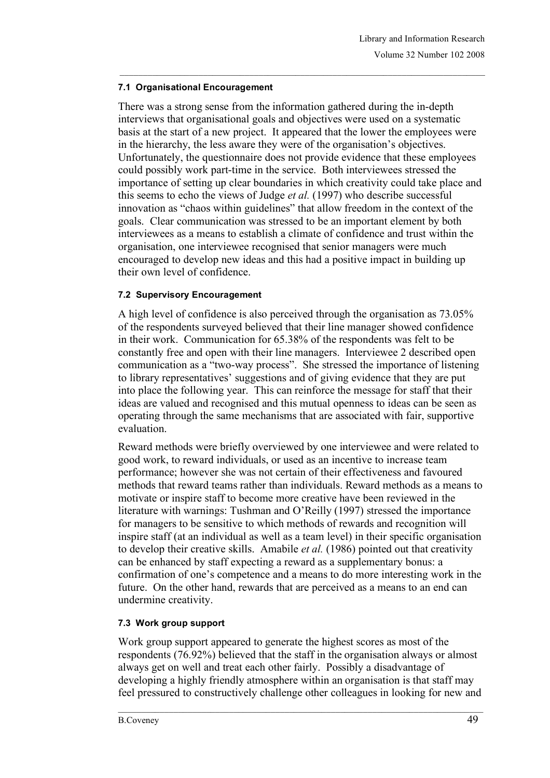### **7.1 Organisational Encouragement**

There was a strong sense from the information gathered during the in-depth interviews that organisational goals and objectives were used on a systematic basis at the start of a new project. It appeared that the lower the employees were in the hierarchy, the less aware they were of the organisation's objectives. Unfortunately, the questionnaire does not provide evidence that these employees could possibly work part-time in the service. Both interviewees stressed the importance of setting up clear boundaries in which creativity could take place and this seems to echo the views of Judge *et al.* (1997) who describe successful innovation as "chaos within guidelines" that allow freedom in the context of the goals. Clear communication was stressed to be an important element by both interviewees as a means to establish a climate of confidence and trust within the organisation, one interviewee recognised that senior managers were much encouraged to develop new ideas and this had a positive impact in building up their own level of confidence.

### **7.2 Supervisory Encouragement**

A high level of confidence is also perceived through the organisation as 73.05% of the respondents surveyed believed that their line manager showed confidence in their work. Communication for 65.38% of the respondents was felt to be constantly free and open with their line managers. Interviewee 2 described open communication as a "two-way process". She stressed the importance of listening to library representatives' suggestions and of giving evidence that they are put into place the following year. This can reinforce the message for staff that their ideas are valued and recognised and this mutual openness to ideas can be seen as operating through the same mechanisms that are associated with fair, supportive evaluation.

Reward methods were briefly overviewed by one interviewee and were related to good work, to reward individuals, or used as an incentive to increase team performance; however she was not certain of their effectiveness and favoured methods that reward teams rather than individuals. Reward methods as a means to motivate or inspire staff to become more creative have been reviewed in the literature with warnings: Tushman and O'Reilly (1997) stressed the importance for managers to be sensitive to which methods of rewards and recognition will inspire staff (at an individual as well as a team level) in their specific organisation to develop their creative skills. Amabile *et al.* (1986) pointed out that creativity can be enhanced by staff expecting a reward as a supplementary bonus: a confirmation of one's competence and a means to do more interesting work in the future. On the other hand, rewards that are perceived as a means to an end can undermine creativity.

## **7.3 Work group support**

Work group support appeared to generate the highest scores as most of the respondents (76.92%) believed that the staff in the organisation always or almost always get on well and treat each other fairly. Possibly a disadvantage of developing a highly friendly atmosphere within an organisation is that staff may feel pressured to constructively challenge other colleagues in looking for new and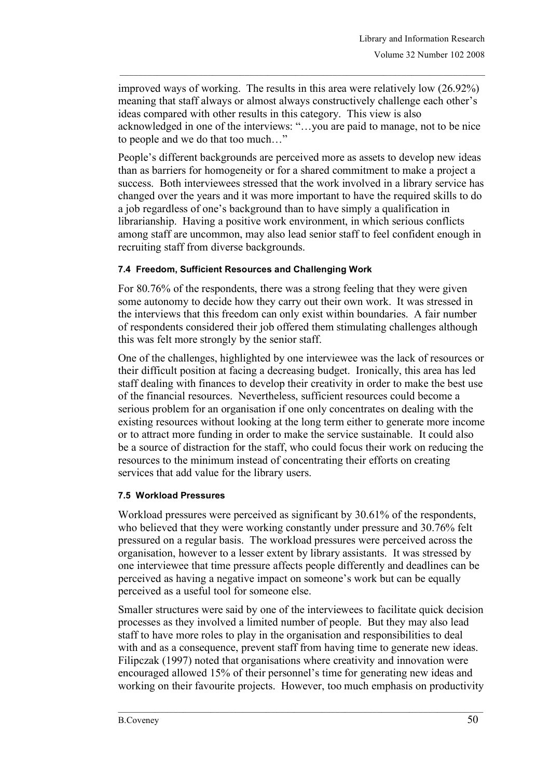improved ways of working. The results in this area were relatively low (26.92%) meaning that staff always or almost always constructively challenge each other's ideas compared with other results in this category. This view is also acknowledged in one of the interviews: "…you are paid to manage, not to be nice to people and we do that too much…"

People's different backgrounds are perceived more as assets to develop new ideas than as barriers for homogeneity or for a shared commitment to make a project a success. Both interviewees stressed that the work involved in a library service has changed over the years and it was more important to have the required skills to do a job regardless of one's background than to have simply a qualification in librarianship. Having a positive work environment, in which serious conflicts among staff are uncommon, may also lead senior staff to feel confident enough in recruiting staff from diverse backgrounds.

#### **7.4 Freedom, Sufficient Resources and Challenging Work**

For 80.76% of the respondents, there was a strong feeling that they were given some autonomy to decide how they carry out their own work. It was stressed in the interviews that this freedom can only exist within boundaries. A fair number of respondents considered their job offered them stimulating challenges although this was felt more strongly by the senior staff.

One of the challenges, highlighted by one interviewee was the lack of resources or their difficult position at facing a decreasing budget. Ironically, this area has led staff dealing with finances to develop their creativity in order to make the best use of the financial resources. Nevertheless, sufficient resources could become a serious problem for an organisation if one only concentrates on dealing with the existing resources without looking at the long term either to generate more income or to attract more funding in order to make the service sustainable. It could also be a source of distraction for the staff, who could focus their work on reducing the resources to the minimum instead of concentrating their efforts on creating services that add value for the library users.

#### **7.5 Workload Pressures**

Workload pressures were perceived as significant by 30.61% of the respondents, who believed that they were working constantly under pressure and 30.76% felt pressured on a regular basis. The workload pressures were perceived across the organisation, however to a lesser extent by library assistants. It was stressed by one interviewee that time pressure affects people differently and deadlines can be perceived as having a negative impact on someone's work but can be equally perceived as a useful tool for someone else.

Smaller structures were said by one of the interviewees to facilitate quick decision processes as they involved a limited number of people. But they may also lead staff to have more roles to play in the organisation and responsibilities to deal with and as a consequence, prevent staff from having time to generate new ideas. Filipczak (1997) noted that organisations where creativity and innovation were encouraged allowed 15% of their personnel's time for generating new ideas and working on their favourite projects. However, too much emphasis on productivity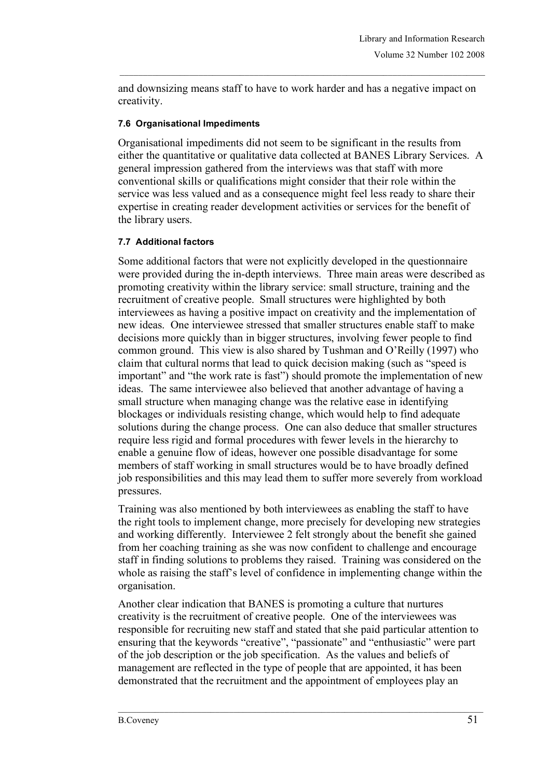and downsizing means staff to have to work harder and has a negative impact on creativity.

### **7.6 Organisational Impediments**

Organisational impediments did not seem to be significant in the results from either the quantitative or qualitative data collected at BANES Library Services. A general impression gathered from the interviews was that staff with more conventional skills or qualifications might consider that their role within the service was less valued and as a consequence might feel less ready to share their expertise in creating reader development activities or services for the benefit of the library users.

### **7.7 Additional factors**

Some additional factors that were not explicitly developed in the questionnaire were provided during the in-depth interviews. Three main areas were described as promoting creativity within the library service: small structure, training and the recruitment of creative people. Small structures were highlighted by both interviewees as having a positive impact on creativity and the implementation of new ideas. One interviewee stressed that smaller structures enable staff to make decisions more quickly than in bigger structures, involving fewer people to find common ground. This view is also shared by Tushman and O'Reilly (1997) who claim that cultural norms that lead to quick decision making (such as "speed is important" and "the work rate is fast") should promote the implementation of new ideas. The same interviewee also believed that another advantage of having a small structure when managing change was the relative ease in identifying blockages or individuals resisting change, which would help to find adequate solutions during the change process. One can also deduce that smaller structures require less rigid and formal procedures with fewer levels in the hierarchy to enable a genuine flow of ideas, however one possible disadvantage for some members of staff working in small structures would be to have broadly defined job responsibilities and this may lead them to suffer more severely from workload pressures.

Training was also mentioned by both interviewees as enabling the staff to have the right tools to implement change, more precisely for developing new strategies and working differently. Interviewee 2 felt strongly about the benefit she gained from her coaching training as she was now confident to challenge and encourage staff in finding solutions to problems they raised. Training was considered on the whole as raising the staff's level of confidence in implementing change within the organisation.

Another clear indication that BANES is promoting a culture that nurtures creativity is the recruitment of creative people. One of the interviewees was responsible for recruiting new staff and stated that she paid particular attention to ensuring that the keywords "creative", "passionate" and "enthusiastic" were part of the job description or the job specification. As the values and beliefs of management are reflected in the type of people that are appointed, it has been demonstrated that the recruitment and the appointment of employees play an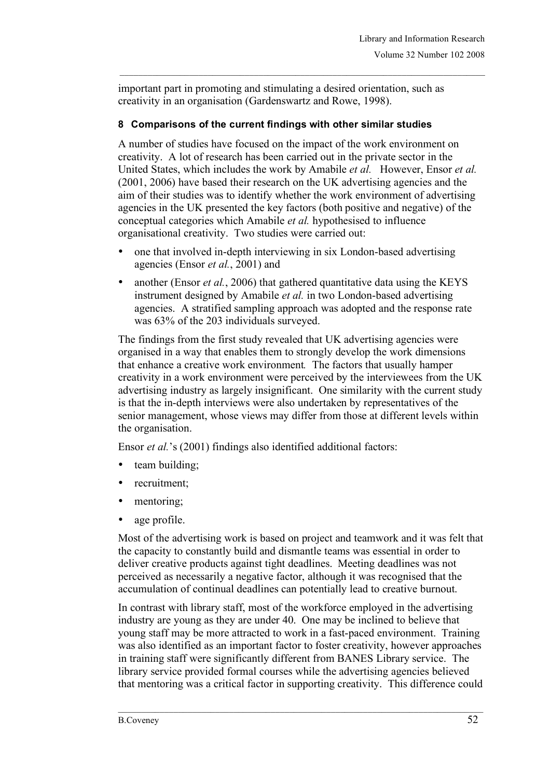important part in promoting and stimulating a desired orientation, such as creativity in an organisation (Gardenswartz and Rowe, 1998).

## **8 Comparisons of the current findings with other similar studies**

A number of studies have focused on the impact of the work environment on creativity. A lot of research has been carried out in the private sector in the United States, which includes the work by Amabile *et al.* However, Ensor *et al.* (2001, 2006) have based their research on the UK advertising agencies and the aim of their studies was to identify whether the work environment of advertising agencies in the UK presented the key factors (both positive and negative) of the conceptual categories which Amabile *et al.* hypothesised to influence organisational creativity. Two studies were carried out:

- one that involved in-depth interviewing in six London-based advertising agencies (Ensor *et al.*, 2001) and
- another (Ensor *et al.*, 2006) that gathered quantitative data using the KEYS instrument designed by Amabile *et al.* in two London-based advertising agencies. A stratified sampling approach was adopted and the response rate was 63% of the 203 individuals surveyed.

The findings from the first study revealed that UK advertising agencies were organised in a way that enables them to strongly develop the work dimensions that enhance a creative work environment*.* The factors that usually hamper creativity in a work environment were perceived by the interviewees from the UK advertising industry as largely insignificant. One similarity with the current study is that the in-depth interviews were also undertaken by representatives of the senior management, whose views may differ from those at different levels within the organisation.

Ensor *et al.*'s (2001) findings also identified additional factors:

- team building:
- recruitment;
- mentoring;
- age profile.

Most of the advertising work is based on project and teamwork and it was felt that the capacity to constantly build and dismantle teams was essential in order to deliver creative products against tight deadlines. Meeting deadlines was not perceived as necessarily a negative factor, although it was recognised that the accumulation of continual deadlines can potentially lead to creative burnout.

In contrast with library staff, most of the workforce employed in the advertising industry are young as they are under 40. One may be inclined to believe that young staff may be more attracted to work in a fast-paced environment. Training was also identified as an important factor to foster creativity, however approaches in training staff were significantly different from BANES Library service. The library service provided formal courses while the advertising agencies believed that mentoring was a critical factor in supporting creativity. This difference could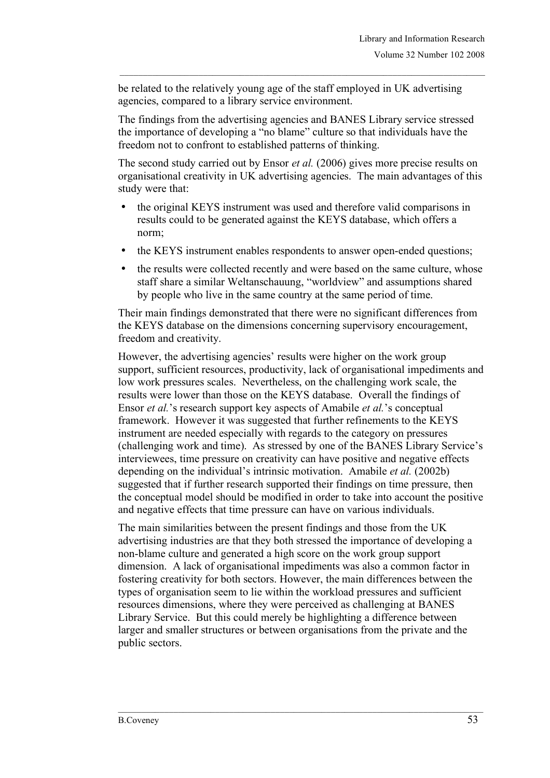be related to the relatively young age of the staff employed in UK advertising agencies, compared to a library service environment.

The findings from the advertising agencies and BANES Library service stressed the importance of developing a "no blame" culture so that individuals have the freedom not to confront to established patterns of thinking.

The second study carried out by Ensor *et al.* (2006) gives more precise results on organisational creativity in UK advertising agencies. The main advantages of this study were that:

- the original KEYS instrument was used and therefore valid comparisons in results could to be generated against the KEYS database, which offers a norm;
- the KEYS instrument enables respondents to answer open-ended questions;
- the results were collected recently and were based on the same culture, whose staff share a similar Weltanschauung, "worldview" and assumptions shared by people who live in the same country at the same period of time.

Their main findings demonstrated that there were no significant differences from the KEYS database on the dimensions concerning supervisory encouragement, freedom and creativity.

However, the advertising agencies' results were higher on the work group support, sufficient resources, productivity, lack of organisational impediments and low work pressures scales. Nevertheless, on the challenging work scale, the results were lower than those on the KEYS database. Overall the findings of Ensor *et al.*'s research support key aspects of Amabile *et al.*'s conceptual framework. However it was suggested that further refinements to the KEYS instrument are needed especially with regards to the category on pressures (challenging work and time). As stressed by one of the BANES Library Service's interviewees, time pressure on creativity can have positive and negative effects depending on the individual's intrinsic motivation. Amabile *et al.* (2002b) suggested that if further research supported their findings on time pressure, then the conceptual model should be modified in order to take into account the positive and negative effects that time pressure can have on various individuals.

The main similarities between the present findings and those from the UK advertising industries are that they both stressed the importance of developing a non-blame culture and generated a high score on the work group support dimension. A lack of organisational impediments was also a common factor in fostering creativity for both sectors. However, the main differences between the types of organisation seem to lie within the workload pressures and sufficient resources dimensions, where they were perceived as challenging at BANES Library Service. But this could merely be highlighting a difference between larger and smaller structures or between organisations from the private and the public sectors.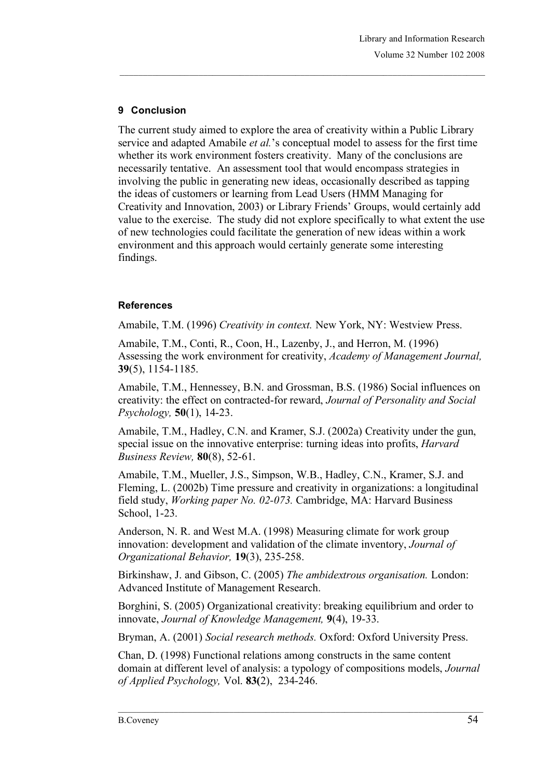## **9 Conclusion**

The current study aimed to explore the area of creativity within a Public Library service and adapted Amabile *et al.*'s conceptual model to assess for the first time whether its work environment fosters creativity. Many of the conclusions are necessarily tentative. An assessment tool that would encompass strategies in involving the public in generating new ideas, occasionally described as tapping the ideas of customers or learning from Lead Users (HMM Managing for Creativity and Innovation, 2003) or Library Friends' Groups, would certainly add value to the exercise. The study did not explore specifically to what extent the use of new technologies could facilitate the generation of new ideas within a work environment and this approach would certainly generate some interesting findings.

## **References**

Amabile, T.M. (1996) *Creativity in context.* New York, NY: Westview Press.

Amabile, T.M., Conti, R., Coon, H., Lazenby, J., and Herron, M. (1996) Assessing the work environment for creativity, *Academy of Management Journal,* **39**(5), 1154-1185.

Amabile, T.M., Hennessey, B.N. and Grossman, B.S. (1986) Social influences on creativity: the effect on contracted-for reward, *Journal of Personality and Social Psychology,* **50**(1), 14-23.

Amabile, T.M., Hadley, C.N. and Kramer, S.J. (2002a) Creativity under the gun, special issue on the innovative enterprise: turning ideas into profits, *Harvard Business Review,* **80**(8), 52-61.

Amabile, T.M., Mueller, J.S., Simpson, W.B., Hadley, C.N., Kramer, S.J. and Fleming, L. (2002b) Time pressure and creativity in organizations: a longitudinal field study, *Working paper No. 02-073.* Cambridge, MA: Harvard Business School, 1-23.

Anderson, N. R. and West M.A. (1998) Measuring climate for work group innovation: development and validation of the climate inventory, *Journal of Organizational Behavior,* **19**(3), 235-258.

Birkinshaw, J. and Gibson, C. (2005) *The ambidextrous organisation.* London: Advanced Institute of Management Research.

Borghini, S. (2005) Organizational creativity: breaking equilibrium and order to innovate, *Journal of Knowledge Management,* **9**(4), 19-33.

Bryman, A. (2001) *Social research methods.* Oxford: Oxford University Press.

Chan, D. (1998) Functional relations among constructs in the same content domain at different level of analysis: a typology of compositions models, *Journal of Applied Psychology,* Vol. **83(**2), 234-246.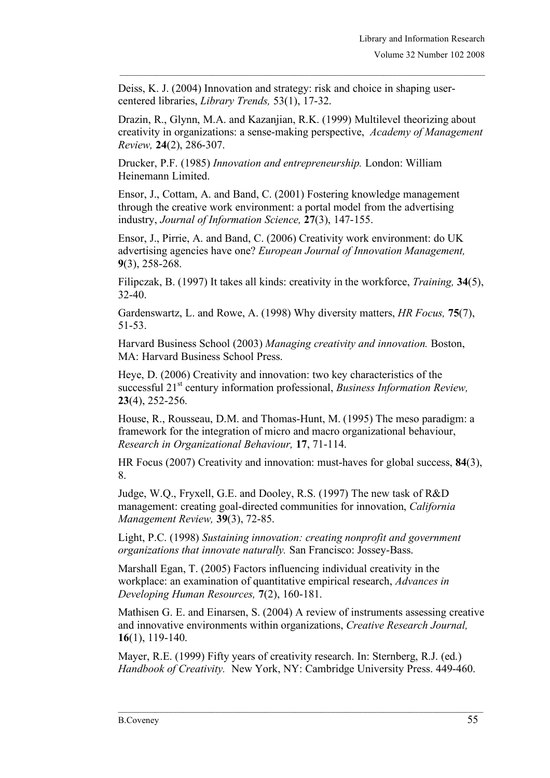Deiss, K. J. (2004) Innovation and strategy: risk and choice in shaping usercentered libraries, *Library Trends,* 53(1), 17-32.

Drazin, R., Glynn, M.A. and Kazanjian, R.K. (1999) Multilevel theorizing about creativity in organizations: a sense-making perspective, *Academy of Management Review,* **24**(2), 286-307.

Drucker, P.F. (1985) *Innovation and entrepreneurship.* London: William Heinemann Limited.

Ensor, J., Cottam, A. and Band, C. (2001) Fostering knowledge management through the creative work environment: a portal model from the advertising industry, *Journal of Information Science,* **27**(3), 147-155.

Ensor, J., Pirrie, A. and Band, C. (2006) Creativity work environment: do UK advertising agencies have one? *European Journal of Innovation Management,* **9**(3), 258-268.

Filipczak, B. (1997) It takes all kinds: creativity in the workforce, *Training,* **34**(5), 32-40.

Gardenswartz, L. and Rowe, A. (1998) Why diversity matters, *HR Focus,* **75**(7), 51-53.

Harvard Business School (2003) *Managing creativity and innovation.* Boston, MA: Harvard Business School Press.

Heye, D. (2006) Creativity and innovation: two key characteristics of the successful 21<sup>st</sup> century information professional, *Business Information Review*, **23**(4), 252-256.

House, R., Rousseau, D.M. and Thomas-Hunt, M. (1995) The meso paradigm: a framework for the integration of micro and macro organizational behaviour, *Research in Organizational Behaviour,* **17**, 71-114.

HR Focus (2007) Creativity and innovation: must-haves for global success, **84**(3), 8.

Judge, W.Q., Fryxell, G.E. and Dooley, R.S. (1997) The new task of R&D management: creating goal-directed communities for innovation, *California Management Review,* **39**(3), 72-85.

Light, P.C. (1998) *Sustaining innovation: creating nonprofit and government organizations that innovate naturally.* San Francisco: Jossey-Bass.

Marshall Egan, T. (2005) Factors influencing individual creativity in the workplace: an examination of quantitative empirical research, *Advances in Developing Human Resources,* **7**(2), 160-181.

Mathisen G. E. and Einarsen, S. (2004) A review of instruments assessing creative and innovative environments within organizations, *Creative Research Journal,* **16**(1), 119-140.

Mayer, R.E. (1999) Fifty years of creativity research. In: Sternberg, R.J. (ed.) *Handbook of Creativity.* New York, NY: Cambridge University Press. 449-460.